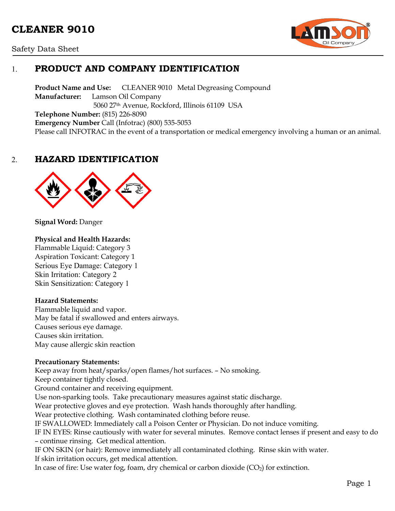# **CLEANER 9010**





# 1. **PRODUCT AND COMPANY IDENTIFICATION**

**Product Name and Use:** CLEANER 9010 Metal Degreasing Compound **Manufacturer:** Lamson Oil Company 5060 27th Avenue, Rockford, Illinois 61109 USA **Telephone Number:** (815) 226-8090 **Emergency Number** Call (Infotrac) (800) 535-5053 Please call INFOTRAC in the event of a transportation or medical emergency involving a human or an animal.

# 2. **HAZARD IDENTIFICATION**



**Signal Word:** Danger

#### **Physical and Health Hazards:**

Flammable Liquid: Category 3 Aspiration Toxicant: Category 1 Serious Eye Damage: Category 1 Skin Irritation: Category 2 Skin Sensitization: Category 1

#### **Hazard Statements:**

Flammable liquid and vapor. May be fatal if swallowed and enters airways. Causes serious eye damage. Causes skin irritation. May cause allergic skin reaction

#### **Precautionary Statements:**

Keep away from heat/sparks/open flames/hot surfaces. – No smoking. Keep container tightly closed. Ground container and receiving equipment. Use non-sparking tools. Take precautionary measures against static discharge. Wear protective gloves and eye protection. Wash hands thoroughly after handling. Wear protective clothing. Wash contaminated clothing before reuse. IF SWALLOWED: Immediately call a Poison Center or Physician. Do not induce vomiting. IF IN EYES: Rinse cautiously with water for several minutes. Remove contact lenses if present and easy to do – continue rinsing. Get medical attention. IF ON SKIN (or hair): Remove immediately all contaminated clothing. Rinse skin with water. If skin irritation occurs, get medical attention. In case of fire: Use water fog, foam, dry chemical or carbon dioxide  $(CO<sub>2</sub>)$  for extinction.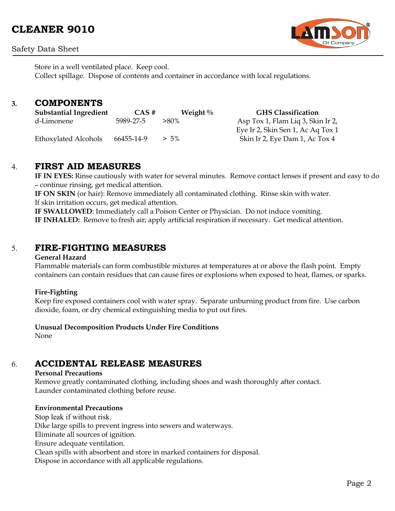### Safety Data Sheet



Store in a well ventilated place. Keep cool. Collect spillage. Dispose of contents and container in accordance with local regulations.

### **3. COMPONENTS**

| <b>Substantial Ingredient</b> | CAS#       | Weight $\%$ | <b>GHS Classification</b>         |
|-------------------------------|------------|-------------|-----------------------------------|
| d-Limonene                    | 5989-27-5  | $>80\%$     | Asp Tox 1, Flam Liq 3, Skin Ir 2, |
|                               |            |             | Eye Ir 2, Skin Sen 1, Ac Aq Tox 1 |
| Ethoxylated Alcohols          | 66455-14-9 | $> 5\%$     | Skin Ir 2, Eye Dam 1, Ac Tox 4    |

# 4. **FIRST AID MEASURES**

**IF IN EYES:** Rinse cautiously with water for several minutes. Remove contact lenses if present and easy to do – continue rinsing, get medical attention.

**IF ON SKIN** (or hair): Remove immediately all contaminated clothing. Rinse skin with water. If skin irritation occurs, get medical attention.

**IF SWALLOWED**: Immediately call a Poison Center or Physician. Do not induce vomiting. **IF INHALED:** Remove to fresh air; apply artificial respiration if necessary. Get medical attention.

# 5. **FIRE-FIGHTING MEASURES**

#### **General Hazard**

Flammable materials can form combustible mixtures at temperatures at or above the flash point. Empty containers can contain residues that can cause fires or explosions when exposed to heat, flames, or sparks.

#### **Fire-Fighting**

Keep fire exposed containers cool with water spray. Separate unburning product from fire. Use carbon dioxide, foam, or dry chemical extinguishing media to put out fires.

#### **Unusual Decomposition Products Under Fire Conditions**

None

# 6. **ACCIDENTAL RELEASE MEASURES**

### **Personal Precautions**

Remove greatly contaminated clothing, including shoes and wash thoroughly after contact. Launder contaminated clothing before reuse.

### **Environmental Precautions**

Stop leak if without risk. Dike large spills to prevent ingress into sewers and waterways. Eliminate all sources of ignition. Ensure adequate ventilation. Clean spills with absorbent and store in marked containers for disposal. Dispose in accordance with all applicable regulations.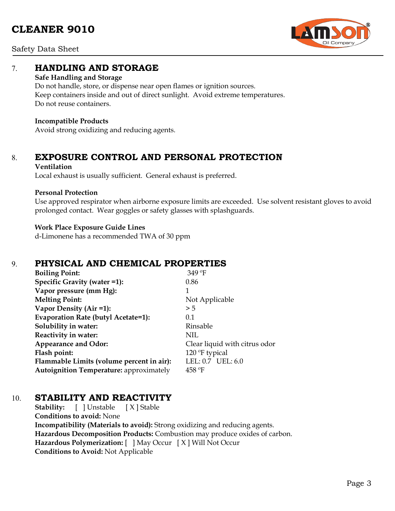# **CLEANER 9010**



Safety Data Sheet

# 7. **HANDLING AND STORAGE**

#### **Safe Handling and Storage**

Do not handle, store, or dispense near open flames or ignition sources. Keep containers inside and out of direct sunlight. Avoid extreme temperatures. Do not reuse containers.

#### **Incompatible Products**

Avoid strong oxidizing and reducing agents.

### 8. **EXPOSURE CONTROL AND PERSONAL PROTECTION**

#### **Ventilation**

Local exhaust is usually sufficient. General exhaust is preferred.

#### **Personal Protection**

Use approved respirator when airborne exposure limits are exceeded. Use solvent resistant gloves to avoid prolonged contact. Wear goggles or safety glasses with splashguards.

#### **Work Place Exposure Guide Lines**

d-Limonene has a recommended TWA of 30 ppm

# 9. **PHYSICAL AND CHEMICAL PROPERTIES**

| <b>Boiling Point:</b>                          | 349 °F                        |
|------------------------------------------------|-------------------------------|
| Specific Gravity (water =1):                   | 0.86                          |
| Vapor pressure (mm Hg):                        | 1                             |
| <b>Melting Point:</b>                          | Not Applicable                |
| Vapor Density (Air =1):                        | > 5                           |
| <b>Evaporation Rate (butyl Acetate=1):</b>     | 0.1                           |
| Solubility in water:                           | Rinsable                      |
| Reactivity in water:                           | NIL                           |
| <b>Appearance and Odor:</b>                    | Clear liquid with citrus odor |
| Flash point:                                   | 120 °F typical                |
| Flammable Limits (volume percent in air):      | LEL: 0.7 UEL: 6.0             |
| <b>Autoignition Temperature:</b> approximately | $458$ °F                      |

# 10. **STABILITY AND REACTIVITY**

**Stability:** [ ] Unstable [X] Stable **Conditions to avoid:** None **Incompatibility (Materials to avoid):** Strong oxidizing and reducing agents. **Hazardous Decomposition Products:** Combustion may produce oxides of carbon. **Hazardous Polymerization:** [ ] May Occur [ X ] Will Not Occur **Conditions to Avoid:** Not Applicable